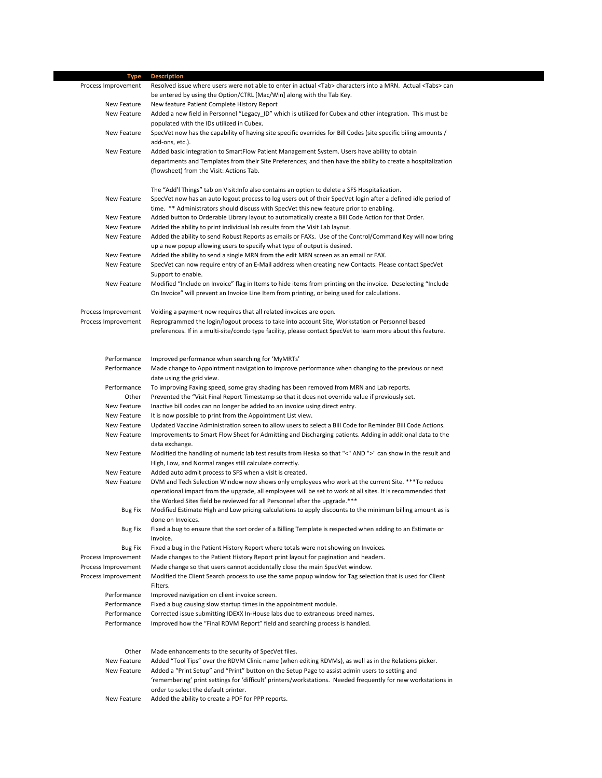| Type                | <b>Description</b>                                                                                                              |  |
|---------------------|---------------------------------------------------------------------------------------------------------------------------------|--|
| Process Improvement | Resolved issue where users were not able to enter in actual <tab> characters into a MRN. Actual <tabs> can</tabs></tab>         |  |
|                     | be entered by using the Option/CTRL [Mac/Win] along with the Tab Key.                                                           |  |
| New Feature         | New feature Patient Complete History Report                                                                                     |  |
| New Feature         | Added a new field in Personnel "Legacy_ID" which is utilized for Cubex and other integration. This must be                      |  |
|                     | populated with the IDs utilized in Cubex.                                                                                       |  |
| New Feature         | SpecVet now has the capability of having site specific overrides for Bill Codes (site specific biling amounts /                 |  |
|                     | add-ons, etc.).                                                                                                                 |  |
| New Feature         | Added basic integration to SmartFlow Patient Management System. Users have ability to obtain                                    |  |
|                     | departments and Templates from their Site Preferences; and then have the ability to create a hospitalization                    |  |
|                     | (flowsheet) from the Visit: Actions Tab.                                                                                        |  |
|                     |                                                                                                                                 |  |
|                     | The "Add'l Things" tab on Visit: Info also contains an option to delete a SFS Hospitalization.                                  |  |
| New Feature         | SpecVet now has an auto logout process to log users out of their SpecVet login after a defined idle period of                   |  |
|                     | time. ** Administrators should discuss with SpecVet this new feature prior to enabling.                                         |  |
| New Feature         | Added button to Orderable Library layout to automatically create a Bill Code Action for that Order.                             |  |
| New Feature         | Added the ability to print individual lab results from the Visit Lab layout.                                                    |  |
| New Feature         | Added the ability to send Robust Reports as emails or FAXs. Use of the Control/Command Key will now bring                       |  |
|                     | up a new popup allowing users to specify what type of output is desired.                                                        |  |
| New Feature         | Added the ability to send a single MRN from the edit MRN screen as an email or FAX.                                             |  |
| New Feature         | SpecVet can now require entry of an E-Mail address when creating new Contacts. Please contact SpecVet                           |  |
|                     | Support to enable.                                                                                                              |  |
| New Feature         | Modified "Include on Invoice" flag in Items to hide items from printing on the invoice. Deselecting "Include                    |  |
|                     | On Invoice" will prevent an Invoice Line Item from printing, or being used for calculations.                                    |  |
|                     |                                                                                                                                 |  |
| Process Improvement | Voiding a payment now requires that all related invoices are open.                                                              |  |
| Process Improvement | Reprogrammed the login/logout process to take into account Site, Workstation or Personnel based                                 |  |
|                     | preferences. If in a multi-site/condo type facility, please contact SpecVet to learn more about this feature.                   |  |
|                     |                                                                                                                                 |  |
|                     |                                                                                                                                 |  |
| Performance         | Improved performance when searching for 'MyMRTs'                                                                                |  |
| Performance         | Made change to Appointment navigation to improve performance when changing to the previous or next                              |  |
|                     | date using the grid view.                                                                                                       |  |
| Performance         | To improving Faxing speed, some gray shading has been removed from MRN and Lab reports.                                         |  |
| Other               | Prevented the "Visit Final Report Timestamp so that it does not override value if previously set.                               |  |
| New Feature         | Inactive bill codes can no longer be added to an invoice using direct entry.                                                    |  |
| New Feature         | It is now possible to print from the Appointment List view.                                                                     |  |
| New Feature         | Updated Vaccine Administration screen to allow users to select a Bill Code for Reminder Bill Code Actions.                      |  |
| New Feature         | Improvements to Smart Flow Sheet for Admitting and Discharging patients. Adding in additional data to the                       |  |
|                     | data exchange.                                                                                                                  |  |
| New Feature         | Modified the handling of numeric lab test results from Heska so that "<" AND ">" can show in the result and                     |  |
|                     | High, Low, and Normal ranges still calculate correctly.                                                                         |  |
| New Feature         | Added auto admit process to SFS when a visit is created.                                                                        |  |
| New Feature         | DVM and Tech Selection Window now shows only employees who work at the current Site. *** To reduce                              |  |
|                     | operational impact from the upgrade, all employees will be set to work at all sites. It is recommended that                     |  |
|                     | the Worked Sites field be reviewed for all Personnel after the upgrade.***                                                      |  |
| <b>Bug Fix</b>      | Modified Estimate High and Low pricing calculations to apply discounts to the minimum billing amount as is                      |  |
| <b>Bug Fix</b>      | done on Invoices.<br>Fixed a bug to ensure that the sort order of a Billing Template is respected when adding to an Estimate or |  |
|                     | Invoice.                                                                                                                        |  |
| <b>Bug Fix</b>      | Fixed a bug in the Patient History Report where totals were not showing on Invoices.                                            |  |
| Process Improvement | Made changes to the Patient History Report print layout for pagination and headers.                                             |  |
| Process Improvement | Made change so that users cannot accidentally close the main SpecVet window.                                                    |  |
| Process Improvement | Modified the Client Search process to use the same popup window for Tag selection that is used for Client                       |  |
|                     | Filters.                                                                                                                        |  |
| Performance         | Improved navigation on client invoice screen.                                                                                   |  |
| Performance         | Fixed a bug causing slow startup times in the appointment module.                                                               |  |
| Performance         | Corrected issue submitting IDEXX In-House labs due to extraneous breed names.                                                   |  |
| Performance         | Improved how the "Final RDVM Report" field and searching process is handled.                                                    |  |
|                     |                                                                                                                                 |  |
|                     |                                                                                                                                 |  |
| Other               | Made enhancements to the security of SpecVet files.                                                                             |  |
| New Feature         | Added "Tool Tips" over the RDVM Clinic name (when editing RDVMs), as well as in the Relations picker.                           |  |
| New Feature         | Added a "Print Setup" and "Print" button on the Setup Page to assist admin users to setting and                                 |  |
|                     | 'remembering' print settings for 'difficult' printers/workstations. Needed frequently for new workstations in                   |  |
|                     | order to select the default printer.                                                                                            |  |
| New Feature         | Added the ability to create a PDF for PPP reports.                                                                              |  |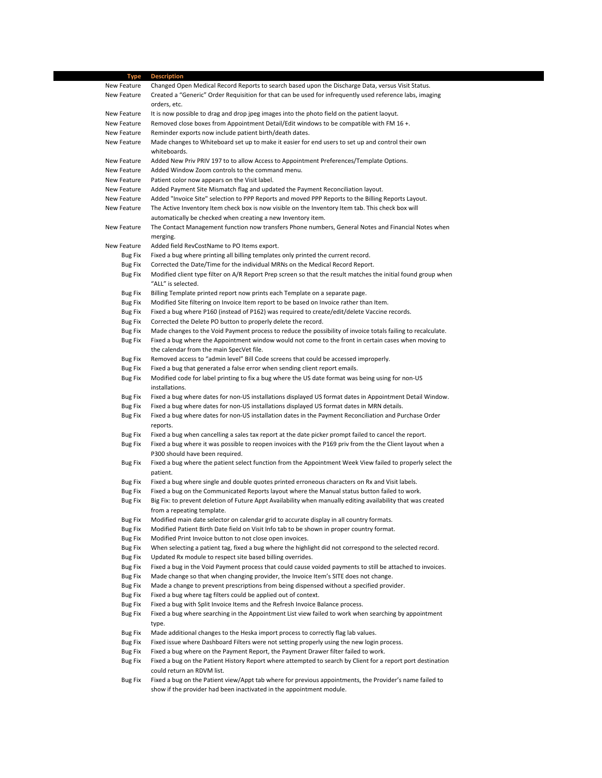| Type                             | <b>Description</b>                                                                                                                                                                                     |
|----------------------------------|--------------------------------------------------------------------------------------------------------------------------------------------------------------------------------------------------------|
| New Feature                      | Changed Open Medical Record Reports to search based upon the Discharge Data, versus Visit Status.                                                                                                      |
| New Feature                      | Created a "Generic" Order Requisition for that can be used for infrequently used reference labs, imaging                                                                                               |
| New Feature                      | orders, etc.                                                                                                                                                                                           |
| New Feature                      | It is now possible to drag and drop jpeg images into the photo field on the patient laoyut.<br>Removed close boxes from Appointment Detail/Edit windows to be compatible with FM 16 +.                 |
| New Feature                      | Reminder exports now include patient birth/death dates.                                                                                                                                                |
| New Feature                      | Made changes to Whiteboard set up to make it easier for end users to set up and control their own                                                                                                      |
|                                  | whiteboards.                                                                                                                                                                                           |
| New Feature                      | Added New Priv PRIV 197 to to allow Access to Appointment Preferences/Template Options.                                                                                                                |
| New Feature                      | Added Window Zoom controls to the command menu.                                                                                                                                                        |
| New Feature                      | Patient color now appears on the Visit label.                                                                                                                                                          |
| New Feature                      | Added Payment Site Mismatch flag and updated the Payment Reconciliation layout.                                                                                                                        |
| New Feature                      | Added "Invoice Site" selection to PPP Reports and moved PPP Reports to the Billing Reports Layout.                                                                                                     |
| New Feature                      | The Active Inventory Item check box is now visible on the Inventory Item tab. This check box will                                                                                                      |
|                                  | automatically be checked when creating a new Inventory item.                                                                                                                                           |
| New Feature                      | The Contact Management function now transfers Phone numbers, General Notes and Financial Notes when                                                                                                    |
|                                  | merging.                                                                                                                                                                                               |
| New Feature                      | Added field RevCostName to PO Items export.                                                                                                                                                            |
| <b>Bug Fix</b><br><b>Bug Fix</b> | Fixed a bug where printing all billing templates only printed the current record.<br>Corrected the Date/Time for the individual MRNs on the Medical Record Report.                                     |
| Bug Fix                          | Modified client type filter on A/R Report Prep screen so that the result matches the initial found group when                                                                                          |
|                                  | "ALL" is selected.                                                                                                                                                                                     |
| Bug Fix                          | Billing Template printed report now prints each Template on a separate page.                                                                                                                           |
| <b>Bug Fix</b>                   | Modified Site filtering on Invoice Item report to be based on Invoice rather than Item.                                                                                                                |
| Bug Fix                          | Fixed a bug where P160 (instead of P162) was required to create/edit/delete Vaccine records.                                                                                                           |
| Bug Fix                          | Corrected the Delete PO button to properly delete the record.                                                                                                                                          |
| Bug Fix                          | Made changes to the Void Payment process to reduce the possibility of invoice totals failing to recalculate.                                                                                           |
| Bug Fix                          | Fixed a bug where the Appointment window would not come to the front in certain cases when moving to                                                                                                   |
|                                  | the calendar from the main SpecVet file.                                                                                                                                                               |
| Bug Fix                          | Removed access to "admin level" Bill Code screens that could be accessed improperly.                                                                                                                   |
| Bug Fix                          | Fixed a bug that generated a false error when sending client report emails.                                                                                                                            |
| Bug Fix                          | Modified code for label printing to fix a bug where the US date format was being using for non-US                                                                                                      |
|                                  | installations.                                                                                                                                                                                         |
| Bug Fix<br>Bug Fix               | Fixed a bug where dates for non-US installations displayed US format dates in Appointment Detail Window.<br>Fixed a bug where dates for non-US installations displayed US format dates in MRN details. |
| <b>Bug Fix</b>                   | Fixed a bug where dates for non-US installation dates in the Payment Reconciliation and Purchase Order                                                                                                 |
|                                  | reports.                                                                                                                                                                                               |
| <b>Bug Fix</b>                   | Fixed a bug when cancelling a sales tax report at the date picker prompt failed to cancel the report.                                                                                                  |
| <b>Bug Fix</b>                   | Fixed a bug where it was possible to reopen invoices with the P169 priv from the the Client layout when a                                                                                              |
|                                  | P300 should have been required.                                                                                                                                                                        |
| <b>Bug Fix</b>                   | Fixed a bug where the patient select function from the Appointment Week View failed to properly select the                                                                                             |
|                                  | patient.                                                                                                                                                                                               |
| <b>Bug Fix</b>                   | Fixed a bug where single and double quotes printed erroneous characters on Rx and Visit labels.                                                                                                        |
| <b>Bug Fix</b>                   | Fixed a bug on the Communicated Reports layout where the Manual status button failed to work.                                                                                                          |
| <b>Bug Fix</b>                   | Big Fix: to prevent deletion of Future Appt Availability when manually editing availability that was created                                                                                           |
|                                  | from a repeating template.<br>Modified main date selector on calendar grid to accurate display in all country formats.                                                                                 |
| <b>Bug Fix</b><br><b>Bug Fix</b> | Modified Patient Birth Date field on Visit Info tab to be shown in proper country format.                                                                                                              |
| Bug Fix                          | Modified Print Invoice button to not close open invoices.                                                                                                                                              |
| <b>Bug Fix</b>                   | When selecting a patient tag, fixed a bug where the highlight did not correspond to the selected record.                                                                                               |
| <b>Bug Fix</b>                   | Updated Rx module to respect site based billing overrides.                                                                                                                                             |
| Bug Fix                          | Fixed a bug in the Void Payment process that could cause voided payments to still be attached to invoices.                                                                                             |
| <b>Bug Fix</b>                   | Made change so that when changing provider, the Invoice Item's SITE does not change.                                                                                                                   |
| Bug Fix                          | Made a change to prevent prescriptions from being dispensed without a specified provider.                                                                                                              |
| <b>Bug Fix</b>                   | Fixed a bug where tag filters could be applied out of context.                                                                                                                                         |
| <b>Bug Fix</b>                   | Fixed a bug with Split Invoice Items and the Refresh Invoice Balance process.                                                                                                                          |
| <b>Bug Fix</b>                   | Fixed a bug where searching in the Appointment List view failed to work when searching by appointment                                                                                                  |
|                                  | type.                                                                                                                                                                                                  |
| Bug Fix                          | Made additional changes to the Heska import process to correctly flag lab values.                                                                                                                      |
| <b>Bug Fix</b>                   | Fixed issue where Dashboard Filters were not setting properly using the new login process.                                                                                                             |
| <b>Bug Fix</b>                   | Fixed a bug where on the Payment Report, the Payment Drawer filter failed to work.                                                                                                                     |
| <b>Bug Fix</b>                   | Fixed a bug on the Patient History Report where attempted to search by Client for a report port destination<br>could return an RDVM list.                                                              |
| <b>Bug Fix</b>                   | Fixed a bug on the Patient view/Appt tab where for previous appointments, the Provider's name failed to                                                                                                |
|                                  | show if the provider had been inactivated in the appointment module.                                                                                                                                   |
|                                  |                                                                                                                                                                                                        |